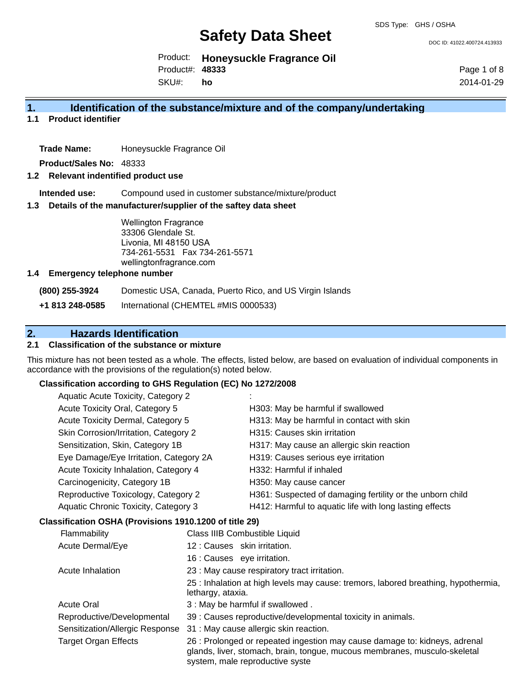DOC ID: 41022.400724.413933

Product: **Honeysuckle Fragrance Oil** Product#: **48333**

SKU#: **ho** Page 1 of 8 2014-01-29

### **1. Identification of the substance/mixture and of the company/undertaking**

**1.1 Product identifier**

**Trade Name:** Honeysuckle Fragrance Oil

**Product/Sales No:** 48333

#### **1.2 Relevant indentified product use**

**Intended use:** Compound used in customer substance/mixture/product

#### **1.3 Details of the manufacturer/supplier of the saftey data sheet**

Wellington Fragrance 33306 Glendale St. Livonia, MI 48150 USA 734-261-5531 Fax 734-261-5571 wellingtonfragrance.com

#### **1.4 Emergency telephone number**

**(800) 255-3924** Domestic USA, Canada, Puerto Rico, and US Virgin Islands

**+1 813 248-0585** International (CHEMTEL #MIS 0000533)

## **2. Hazards Identification**

### **2.1 Classification of the substance or mixture**

This mixture has not been tested as a whole. The effects, listed below, are based on evaluation of individual components in accordance with the provisions of the regulation(s) noted below.

#### **Classification according to GHS Regulation (EC) No 1272/2008**

| Aquatic Acute Toxicity, Category 2     |                                                           |
|----------------------------------------|-----------------------------------------------------------|
| Acute Toxicity Oral, Category 5        | H303: May be harmful if swallowed                         |
| Acute Toxicity Dermal, Category 5      | H313: May be harmful in contact with skin                 |
| Skin Corrosion/Irritation, Category 2  | H315: Causes skin irritation                              |
| Sensitization, Skin, Category 1B       | H317: May cause an allergic skin reaction                 |
| Eye Damage/Eye Irritation, Category 2A | H319: Causes serious eye irritation                       |
| Acute Toxicity Inhalation, Category 4  | H332: Harmful if inhaled                                  |
| Carcinogenicity, Category 1B           | H350: May cause cancer                                    |
| Reproductive Toxicology, Category 2    | H361: Suspected of damaging fertility or the unborn child |
| Aquatic Chronic Toxicity, Category 3   | H412: Harmful to aquatic life with long lasting effects   |
|                                        |                                                           |

#### **Classification OSHA (Provisions 1910.1200 of title 29)**

| Flammability                    | Class IIIB Combustible Liquid                                                                                                                                                              |  |  |
|---------------------------------|--------------------------------------------------------------------------------------------------------------------------------------------------------------------------------------------|--|--|
| Acute Dermal/Eye                | 12 : Causes skin irritation.                                                                                                                                                               |  |  |
|                                 | 16 : Causes eye irritation.                                                                                                                                                                |  |  |
| Acute Inhalation                | 23 : May cause respiratory tract irritation.                                                                                                                                               |  |  |
|                                 | 25 : Inhalation at high levels may cause: tremors, labored breathing, hypothermia,<br>lethargy, ataxia.                                                                                    |  |  |
| <b>Acute Oral</b>               | 3 : May be harmful if swallowed.                                                                                                                                                           |  |  |
| Reproductive/Developmental      | 39 : Causes reproductive/developmental toxicity in animals.                                                                                                                                |  |  |
| Sensitization/Allergic Response | 31 : May cause allergic skin reaction.                                                                                                                                                     |  |  |
| Target Organ Effects            | 26 : Prolonged or repeated ingestion may cause damage to: kidneys, adrenal<br>glands, liver, stomach, brain, tongue, mucous membranes, musculo-skeletal<br>system, male reproductive syste |  |  |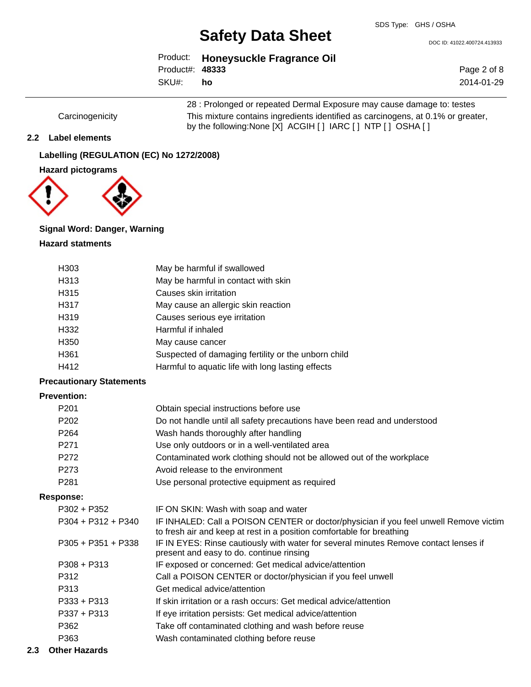DOC ID: 41022.400724.413933

|                 | Product: Honeysuckle Fragrance Oil |
|-----------------|------------------------------------|
| Product#: 48333 |                                    |
| SKU#: ho        |                                    |

Page 2 of 8 2014-01-29

28 : Prolonged or repeated Dermal Exposure may cause damage to: testes Carcinogenicity This mixture contains ingredients identified as carcinogens, at 0.1% or greater, by the following:None [X] ACGIH [ ] IARC [ ] NTP [ ] OSHA [ ]

#### **2.2 Label elements**

## **Labelling (REGULATION (EC) No 1272/2008)**





## **Signal Word: Danger, Warning**

#### **Hazard statments**

| H <sub>303</sub> | May be harmful if swallowed                         |
|------------------|-----------------------------------------------------|
| H313             | May be harmful in contact with skin                 |
| H315             | Causes skin irritation                              |
| H317             | May cause an allergic skin reaction                 |
| H319             | Causes serious eye irritation                       |
| H332             | Harmful if inhaled                                  |
| H <sub>350</sub> | May cause cancer                                    |
| H361             | Suspected of damaging fertility or the unborn child |
| H412             | Harmful to aquatic life with long lasting effects   |

## **Precautionary Statements**

#### **Prevention:**

| P <sub>201</sub> | Obtain special instructions before use                                   |
|------------------|--------------------------------------------------------------------------|
| P <sub>202</sub> | Do not handle until all safety precautions have been read and understood |
| P <sub>264</sub> | Wash hands thoroughly after handling                                     |
| P <sub>271</sub> | Use only outdoors or in a well-ventilated area                           |
| P272             | Contaminated work clothing should not be allowed out of the workplace    |
| P <sub>273</sub> | Avoid release to the environment                                         |
| P <sub>281</sub> | Use personal protective equipment as required                            |

#### **Response:**

| $P302 + P352$        | IF ON SKIN: Wash with soap and water                                                                                                                           |
|----------------------|----------------------------------------------------------------------------------------------------------------------------------------------------------------|
| $P304 + P312 + P340$ | IF INHALED: Call a POISON CENTER or doctor/physician if you feel unwell Remove victim<br>to fresh air and keep at rest in a position comfortable for breathing |
| $P305 + P351 + P338$ | IF IN EYES: Rinse cautiously with water for several minutes Remove contact lenses if<br>present and easy to do. continue rinsing                               |
| $P308 + P313$        | IF exposed or concerned: Get medical advice/attention                                                                                                          |
| P312                 | Call a POISON CENTER or doctor/physician if you feel unwell                                                                                                    |
| P313                 | Get medical advice/attention                                                                                                                                   |
| $P333 + P313$        | If skin irritation or a rash occurs: Get medical advice/attention                                                                                              |
| $P337 + P313$        | If eye irritation persists: Get medical advice/attention                                                                                                       |
| P362                 | Take off contaminated clothing and wash before reuse                                                                                                           |
| P363                 | Wash contaminated clothing before reuse                                                                                                                        |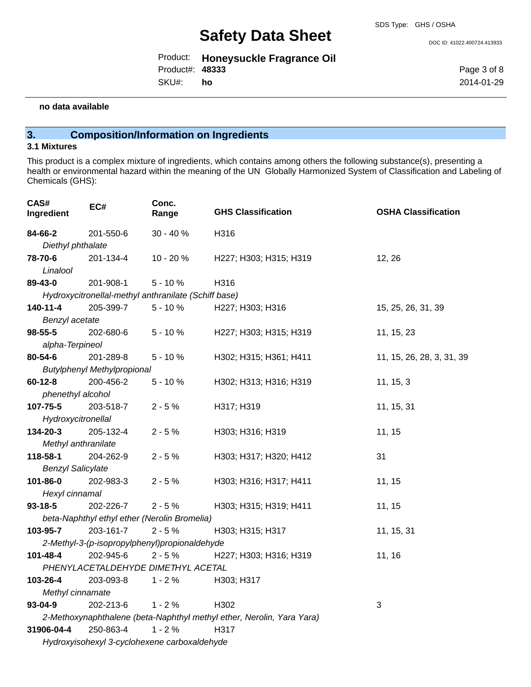DOC ID: 41022.400724.413933

|                 | Product: Honeysuckle Fragrance Oil |
|-----------------|------------------------------------|
| Product#: 48333 |                                    |
| SKU#:           | - ho                               |

Page 3 of 8 2014-01-29

#### **no data available**

## **3. Composition/Information on Ingredients**

#### **3.1 Mixtures**

This product is a complex mixture of ingredients, which contains among others the following substance(s), presenting a health or environmental hazard within the meaning of the UN Globally Harmonized System of Classification and Labeling of Chemicals (GHS):

| CAS#<br>Ingredient              | EC#                                | Conc.<br>Range                                       | <b>GHS Classification</b>                                             | <b>OSHA Classification</b> |
|---------------------------------|------------------------------------|------------------------------------------------------|-----------------------------------------------------------------------|----------------------------|
| 84-66-2                         | 201-550-6                          | $30 - 40%$                                           | H316                                                                  |                            |
| Diethyl phthalate               |                                    |                                                      |                                                                       |                            |
| 78-70-6                         | 201-134-4                          | 10 - 20 %                                            | H227; H303; H315; H319                                                | 12, 26                     |
| Linalool                        |                                    |                                                      |                                                                       |                            |
| 89-43-0                         | 201-908-1                          | $5 - 10%$                                            | H316                                                                  |                            |
|                                 |                                    | Hydroxycitronellal-methyl anthranilate (Schiff base) |                                                                       |                            |
| 140-11-4                        | 205-399-7                          | $5 - 10%$                                            | H227; H303; H316                                                      | 15, 25, 26, 31, 39         |
| Benzyl acetate                  |                                    |                                                      |                                                                       |                            |
| $98 - 55 - 5$                   | 202-680-6                          | $5 - 10%$                                            | H227; H303; H315; H319                                                | 11, 15, 23                 |
| alpha-Terpineol                 |                                    |                                                      |                                                                       |                            |
| 80-54-6                         | 201-289-8                          | $5 - 10%$                                            | H302; H315; H361; H411                                                | 11, 15, 26, 28, 3, 31, 39  |
|                                 | <b>Butylphenyl Methylpropional</b> |                                                      |                                                                       |                            |
| $60 - 12 - 8$                   | 200-456-2                          | $5 - 10%$                                            | H302; H313; H316; H319                                                | 11, 15, 3                  |
| phenethyl alcohol               |                                    |                                                      |                                                                       |                            |
| 107-75-5                        | 203-518-7                          | $2 - 5%$                                             | H317; H319                                                            | 11, 15, 31                 |
| Hydroxycitronellal              |                                    |                                                      |                                                                       |                            |
| 134-20-3                        | 205-132-4                          | $2 - 5%$                                             | H303; H316; H319                                                      | 11, 15                     |
| Methyl anthranilate<br>118-58-1 | 204-262-9                          | $2 - 5%$                                             |                                                                       | 31                         |
| <b>Benzyl Salicylate</b>        |                                    |                                                      | H303; H317; H320; H412                                                |                            |
| 101-86-0                        | 202-983-3                          | $2 - 5%$                                             | H303; H316; H317; H411                                                | 11, 15                     |
| Hexyl cinnamal                  |                                    |                                                      |                                                                       |                            |
| $93 - 18 - 5$                   | 202-226-7                          | $2 - 5%$                                             | H303; H315; H319; H411                                                | 11, 15                     |
|                                 |                                    | beta-Naphthyl ethyl ether (Nerolin Bromelia)         |                                                                       |                            |
| 103-95-7                        | 203-161-7                          | $2 - 5%$                                             | H303; H315; H317                                                      | 11, 15, 31                 |
|                                 |                                    | 2-Methyl-3-(p-isopropylphenyl)propionaldehyde        |                                                                       |                            |
| 101-48-4                        | 202-945-6                          | $2 - 5%$                                             | H227; H303; H316; H319                                                | 11, 16                     |
|                                 |                                    | PHENYLACETALDEHYDE DIMETHYL ACETAL                   |                                                                       |                            |
| 103-26-4                        | 203-093-8                          | $1 - 2%$                                             | H303; H317                                                            |                            |
| Methyl cinnamate                |                                    |                                                      |                                                                       |                            |
| $93 - 04 - 9$                   | 202-213-6                          | $1 - 2%$                                             | H302                                                                  | 3                          |
|                                 |                                    |                                                      | 2-Methoxynaphthalene (beta-Naphthyl methyl ether, Nerolin, Yara Yara) |                            |
| 31906-04-4                      | 250-863-4                          | $1 - 2%$                                             | H317                                                                  |                            |
|                                 |                                    | Hydroxyisohexyl 3-cyclohexene carboxaldehyde         |                                                                       |                            |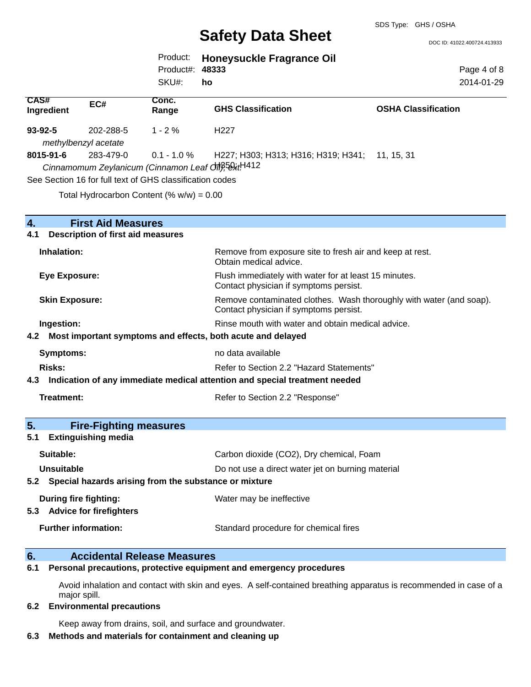DOC ID: 41022.400724.413933

|                 | Product: Honeysuckle Fragrance Oil |
|-----------------|------------------------------------|
| Product#: 48333 |                                    |
| SKU#: ho        |                                    |
|                 |                                    |

Page 4 of 8 2014-01-29

| CAS#<br>Ingredient                                                 | EC#                                      | Conc.<br>Range                                                         | <b>GHS Classification</b>                                                                                     | <b>OSHA Classification</b> |
|--------------------------------------------------------------------|------------------------------------------|------------------------------------------------------------------------|---------------------------------------------------------------------------------------------------------------|----------------------------|
| $93 - 92 - 5$                                                      | 202-288-5                                | $1 - 2%$                                                               | H <sub>227</sub>                                                                                              |                            |
|                                                                    | methylbenzyl acetate                     |                                                                        |                                                                                                               |                            |
| 8015-91-6                                                          | 283-479-0                                | $0.1 - 1.0 \%$<br>Cinnamomum Zeylanicum (Cinnamon Leaf Off); 58xt H412 | H227; H303; H313; H316; H319; H341; 11, 15, 31                                                                |                            |
|                                                                    |                                          | See Section 16 for full text of GHS classification codes               |                                                                                                               |                            |
|                                                                    |                                          | Total Hydrocarbon Content (% $w/w$ ) = 0.00                            |                                                                                                               |                            |
| $\overline{4}$ .                                                   | <b>First Aid Measures</b>                |                                                                        |                                                                                                               |                            |
| 4.1                                                                | <b>Description of first aid measures</b> |                                                                        |                                                                                                               |                            |
| Inhalation:                                                        |                                          |                                                                        | Remove from exposure site to fresh air and keep at rest.<br>Obtain medical advice.                            |                            |
| <b>Eye Exposure:</b>                                               |                                          |                                                                        | Flush immediately with water for at least 15 minutes.<br>Contact physician if symptoms persist.               |                            |
| <b>Skin Exposure:</b>                                              |                                          |                                                                        | Remove contaminated clothes. Wash thoroughly with water (and soap).<br>Contact physician if symptoms persist. |                            |
| Ingestion:                                                         |                                          |                                                                        | Rinse mouth with water and obtain medical advice.                                                             |                            |
| Most important symptoms and effects, both acute and delayed<br>4.2 |                                          |                                                                        |                                                                                                               |                            |
| Symptoms:                                                          |                                          |                                                                        | no data available                                                                                             |                            |
| Risks:                                                             |                                          |                                                                        | Refer to Section 2.2 "Hazard Statements"                                                                      |                            |
| 4.3                                                                |                                          |                                                                        | Indication of any immediate medical attention and special treatment needed                                    |                            |
| <b>Treatment:</b>                                                  |                                          |                                                                        | Refer to Section 2.2 "Response"                                                                               |                            |
| 5.                                                                 | <b>Fire-Fighting measures</b>            |                                                                        |                                                                                                               |                            |

## **5.1 Extinguishing media**

| Carbon dioxide (CO2), Dry chemical, Foam<br>Suitable:     |                                                   |  |
|-----------------------------------------------------------|---------------------------------------------------|--|
| Unsuitable                                                | Do not use a direct water jet on burning material |  |
| 5.2 Special hazards arising from the substance or mixture |                                                   |  |
| During fire fighting:<br>5.3 Advice for firefighters      | Water may be ineffective                          |  |
| <b>Further information:</b>                               | Standard procedure for chemical fires             |  |

### **6. Accidental Release Measures**

### **6.1 Personal precautions, protective equipment and emergency procedures**

Avoid inhalation and contact with skin and eyes. A self-contained breathing apparatus is recommended in case of a major spill.

#### **6.2 Environmental precautions**

Keep away from drains, soil, and surface and groundwater.

## **6.3 Methods and materials for containment and cleaning up**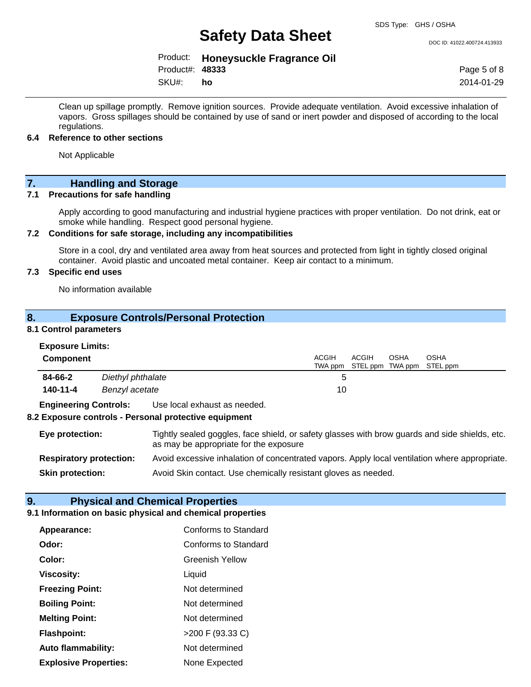DOC ID: 41022.400724.413933

Product: **Honeysuckle Fragrance Oil**

Product#: **48333**

SKU#: **ho** Page 5 of 8 2014-01-29

Clean up spillage promptly. Remove ignition sources. Provide adequate ventilation. Avoid excessive inhalation of vapors. Gross spillages should be contained by use of sand or inert powder and disposed of according to the local regulations.

#### **6.4 Reference to other sections**

Not Applicable

## **7. Handling and Storage**

#### **7.1 Precautions for safe handling**

Apply according to good manufacturing and industrial hygiene practices with proper ventilation. Do not drink, eat or smoke while handling. Respect good personal hygiene.

#### **7.2 Conditions for safe storage, including any incompatibilities**

Store in a cool, dry and ventilated area away from heat sources and protected from light in tightly closed original container. Avoid plastic and uncoated metal container. Keep air contact to a minimum.

### **7.3 Specific end uses**

No information available

### **8. Exposure Controls/Personal Protection**

#### **8.1 Control parameters**

| <b>Exposure Limits:</b> |  |
|-------------------------|--|
| Component               |  |

| Component |                   | ACGIH<br><b>ACGIH</b><br><b>OSHA</b><br>TWA ppm STEL ppm TWA ppm STEL ppm | <b>OSHA</b> |
|-----------|-------------------|---------------------------------------------------------------------------|-------------|
| 84-66-2   | Diethyl phthalate | :5                                                                        |             |
| 140-11-4  | Benzyl acetate    | 10                                                                        |             |

**Engineering Controls:** Use local exhaust as needed.

#### **8.2 Exposure controls - Personal protective equipment**

**Eye protection:** Tightly sealed goggles, face shield, or safety glasses with brow guards and side shields, etc. as may be appropriate for the exposure **Respiratory protection:** Avoid excessive inhalation of concentrated vapors. Apply local ventilation where appropriate.

**Skin protection:** Avoid Skin contact. Use chemically resistant gloves as needed.

## **9. Physical and Chemical Properties**

#### **9.1 Information on basic physical and chemical properties**

| Appearance:                  | Conforms to Standard   |
|------------------------------|------------------------|
| Odor:                        | Conforms to Standard   |
| Color:                       | <b>Greenish Yellow</b> |
| <b>Viscosity:</b>            | Liquid                 |
| <b>Freezing Point:</b>       | Not determined         |
| <b>Boiling Point:</b>        | Not determined         |
| <b>Melting Point:</b>        | Not determined         |
| <b>Flashpoint:</b>           | >200 F (93.33 C)       |
| Auto flammability:           | Not determined         |
| <b>Explosive Properties:</b> | None Expected          |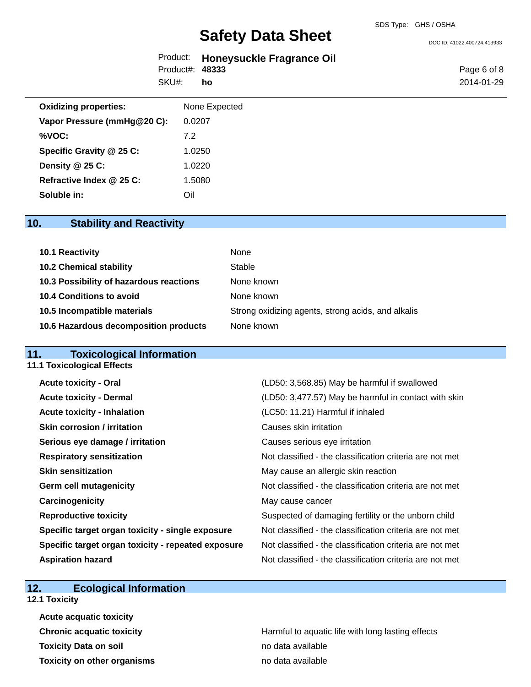DOC ID: 41022.400724.413933

|                 | Product: Honeysuckle Fragrance Oil |
|-----------------|------------------------------------|
| Product#: 48333 |                                    |
| SKU#: ho        |                                    |

Page 6 of 8 2014-01-29

| <b>Oxidizing properties:</b> | None Expected |
|------------------------------|---------------|
| Vapor Pressure (mmHg@20 C):  | 0.0207        |
| %VOC:                        | 7.2           |
| Specific Gravity @ 25 C:     | 1.0250        |
| Density @ 25 C:              | 1.0220        |
| Refractive Index @ 25 C:     | 1.5080        |
| Soluble in:                  | Oil           |

## **10. Stability and Reactivity**

| 10.1 Reactivity                         | None                                               |
|-----------------------------------------|----------------------------------------------------|
| <b>10.2 Chemical stability</b>          | Stable                                             |
| 10.3 Possibility of hazardous reactions | None known                                         |
| 10.4 Conditions to avoid                | None known                                         |
| 10.5 Incompatible materials             | Strong oxidizing agents, strong acids, and alkalis |
| 10.6 Hazardous decomposition products   | None known                                         |

## **11. Toxicological Information**

| <b>11.1 Toxicological Effects</b>                  |                                                          |
|----------------------------------------------------|----------------------------------------------------------|
| <b>Acute toxicity - Oral</b>                       | (LD50: 3,568.85) May be harmful if swallowed             |
| <b>Acute toxicity - Dermal</b>                     | (LD50: 3,477.57) May be harmful in contact with skin     |
| <b>Acute toxicity - Inhalation</b>                 | (LC50: 11.21) Harmful if inhaled                         |
| <b>Skin corrosion / irritation</b>                 | Causes skin irritation                                   |
| Serious eye damage / irritation                    | Causes serious eye irritation                            |
| <b>Respiratory sensitization</b>                   | Not classified - the classification criteria are not met |
| <b>Skin sensitization</b>                          | May cause an allergic skin reaction                      |
| <b>Germ cell mutagenicity</b>                      | Not classified - the classification criteria are not met |
| Carcinogenicity                                    | May cause cancer                                         |
| <b>Reproductive toxicity</b>                       | Suspected of damaging fertility or the unborn child      |
| Specific target organ toxicity - single exposure   | Not classified - the classification criteria are not met |
| Specific target organ toxicity - repeated exposure | Not classified - the classification criteria are not met |
| <b>Aspiration hazard</b>                           | Not classified - the classification criteria are not met |

## **12. Ecological Information**

**12.1 Toxicity**

| <b>Acute acquatic toxicity</b>     |                                                   |
|------------------------------------|---------------------------------------------------|
| <b>Chronic acquatic toxicity</b>   | Harmful to aquatic life with long lasting effects |
| <b>Toxicity Data on soil</b>       | no data available                                 |
| <b>Toxicity on other organisms</b> | no data available                                 |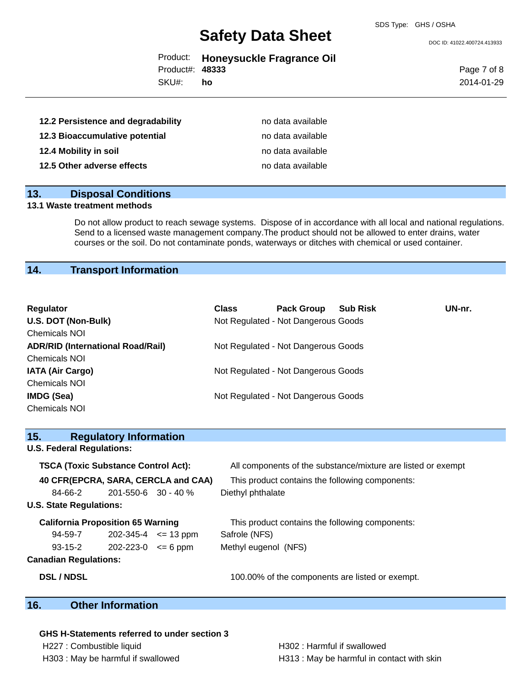DOC ID: 41022.400724.413933

|                 | Product: Honeysuckle Fragrance Oil |
|-----------------|------------------------------------|
| Product#: 48333 |                                    |

SKU#: **ho** Page 7 of 8 2014-01-29

| 12.2 Persistence and degradability | no data available |
|------------------------------------|-------------------|
| 12.3 Bioaccumulative potential     | no data available |
| 12.4 Mobility in soil              | no data available |
| 12.5 Other adverse effects         | no data available |

## **13. Disposal Conditions**

### **13.1 Waste treatment methods**

Do not allow product to reach sewage systems. Dispose of in accordance with all local and national regulations. Send to a licensed waste management company.The product should not be allowed to enter drains, water courses or the soil. Do not contaminate ponds, waterways or ditches with chemical or used container.

## **14. Transport Information**

| <b>Regulator</b>                         | <b>Class</b> | <b>Pack Group</b>                   | <b>Sub Risk</b> | UN-nr. |
|------------------------------------------|--------------|-------------------------------------|-----------------|--------|
| U.S. DOT (Non-Bulk)                      |              | Not Regulated - Not Dangerous Goods |                 |        |
| <b>Chemicals NOI</b>                     |              |                                     |                 |        |
| <b>ADR/RID (International Road/Rail)</b> |              | Not Regulated - Not Dangerous Goods |                 |        |
| <b>Chemicals NOI</b>                     |              |                                     |                 |        |
| <b>IATA (Air Cargo)</b>                  |              | Not Regulated - Not Dangerous Goods |                 |        |
| <b>Chemicals NOI</b>                     |              |                                     |                 |        |
| <b>IMDG (Sea)</b>                        |              | Not Regulated - Not Dangerous Goods |                 |        |
| <b>Chemicals NOI</b>                     |              |                                     |                 |        |

| <b>Regulatory Information</b><br>15.           |                                                              |
|------------------------------------------------|--------------------------------------------------------------|
| <b>U.S. Federal Regulations:</b>               |                                                              |
| <b>TSCA (Toxic Substance Control Act):</b>     | All components of the substance/mixture are listed or exempt |
| 40 CFR(EPCRA, SARA, CERCLA and CAA)            | This product contains the following components:              |
| $201 - 550 - 6$ 30 - 40 %<br>84-66-2           | Diethyl phthalate                                            |
| <b>U.S. State Regulations:</b>                 |                                                              |
| <b>California Proposition 65 Warning</b>       | This product contains the following components:              |
| 94-59-7<br>$202 - 345 - 4 \leq 13 \text{ ppm}$ | Safrole (NFS)                                                |
| $93 - 15 - 2$<br>202-223-0<br>$\leq$ 6 ppm     | Methyl eugenol (NFS)                                         |
| <b>Canadian Regulations:</b>                   |                                                              |

**DSL / NDSL** 100.00% of the components are listed or exempt.

## **16. Other Information**

**GHS H-Statements referred to under section 3** H227 : Combustible liquid **H302 : Harmful if swallowed** 

H303 : May be harmful if swallowed **H313** : May be harmful in contact with skin